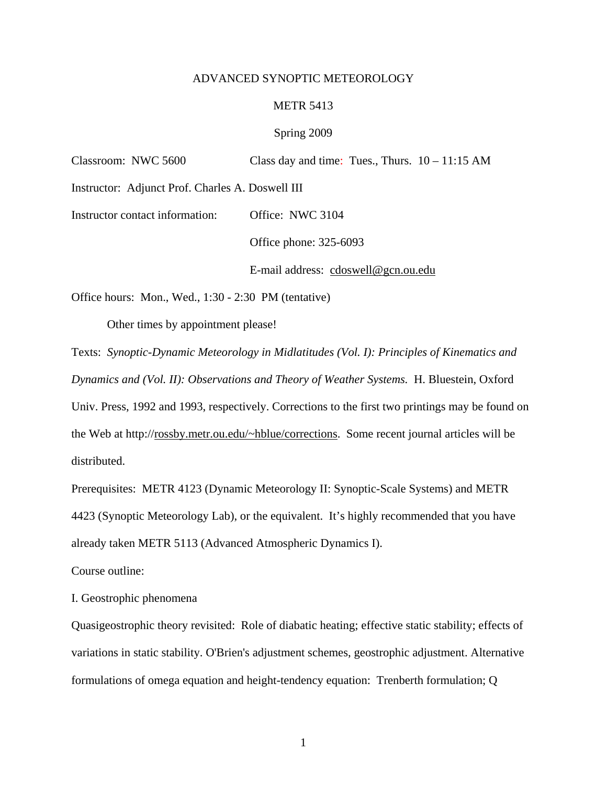## ADVANCED SYNOPTIC METEOROLOGY

## METR 5413

## Spring 2009

| Classroom: NWC 5600                                  | Class day and time: Tues., Thurs. $10 - 11:15$ AM                                          |
|------------------------------------------------------|--------------------------------------------------------------------------------------------|
| Instructor: Adjunct Prof. Charles A. Doswell III     |                                                                                            |
| Instructor contact information:                      | Office: NWC 3104                                                                           |
|                                                      | Office phone: 325-6093                                                                     |
|                                                      | E-mail address: cdoswell@gcn.ou.edu                                                        |
| Office hours: Mon., Wed., 1:30 - 2:30 PM (tentative) |                                                                                            |
| Other times by appointment please!                   |                                                                                            |
|                                                      | Texts: Synoptic-Dynamic Meteorology in Midlatitudes (Vol. I): Principles of Kinematics and |
|                                                      |                                                                                            |

*Dynamics and (Vol. II): Observations and Theory of Weather Systems.* H. Bluestein, Oxford Univ. Press, 1992 and 1993, respectively. Corrections to the first two printings may be found on the Web at http://rossby.metr.ou.edu/~hblue/corrections. Some recent journal articles will be distributed.

Prerequisites: METR 4123 (Dynamic Meteorology II: Synoptic-Scale Systems) and METR 4423 (Synoptic Meteorology Lab), or the equivalent. It's highly recommended that you have already taken METR 5113 (Advanced Atmospheric Dynamics I).

Course outline:

I. Geostrophic phenomena

Quasigeostrophic theory revisited: Role of diabatic heating; effective static stability; effects of variations in static stability. O'Brien's adjustment schemes, geostrophic adjustment. Alternative formulations of omega equation and height-tendency equation: Trenberth formulation; Q

1